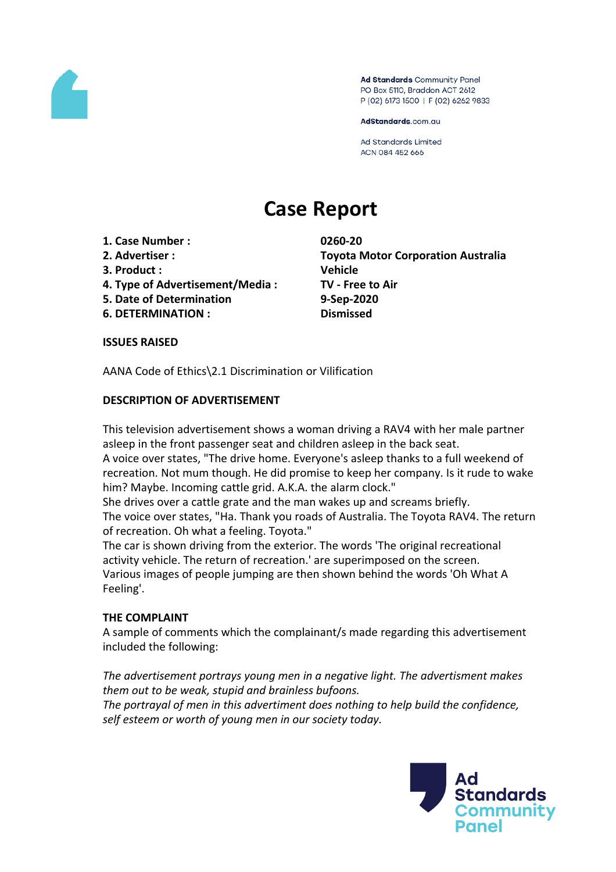

Ad Standards Community Panel PO Box 5110, Braddon ACT 2612 P (02) 6173 1500 | F (02) 6262 9833

AdStandards.com.au

**Ad Standards Limited** ACN 084 452 666

# **Case Report**

- **1. Case Number : 0260-20**
- 
- **3. Product : Vehicle**
- **4. Type of Advertisement/Media : TV - Free to Air**
- **5. Date of Determination 9-Sep-2020**
- **6. DETERMINATION : Dismissed**

**2. Advertiser : Toyota Motor Corporation Australia**

**ISSUES RAISED**

AANA Code of Ethics\2.1 Discrimination or Vilification

## **DESCRIPTION OF ADVERTISEMENT**

This television advertisement shows a woman driving a RAV4 with her male partner asleep in the front passenger seat and children asleep in the back seat.

A voice over states, "The drive home. Everyone's asleep thanks to a full weekend of recreation. Not mum though. He did promise to keep her company. Is it rude to wake him? Maybe. Incoming cattle grid. A.K.A. the alarm clock."

She drives over a cattle grate and the man wakes up and screams briefly.

The voice over states, "Ha. Thank you roads of Australia. The Toyota RAV4. The return of recreation. Oh what a feeling. Toyota."

The car is shown driving from the exterior. The words 'The original recreational activity vehicle. The return of recreation.' are superimposed on the screen. Various images of people jumping are then shown behind the words 'Oh What A Feeling'.

## **THE COMPLAINT**

A sample of comments which the complainant/s made regarding this advertisement included the following:

*The advertisement portrays young men in a negative light. The advertisment makes them out to be weak, stupid and brainless bufoons. The portrayal of men in this advertiment does nothing to help build the confidence, self esteem or worth of young men in our society today.*

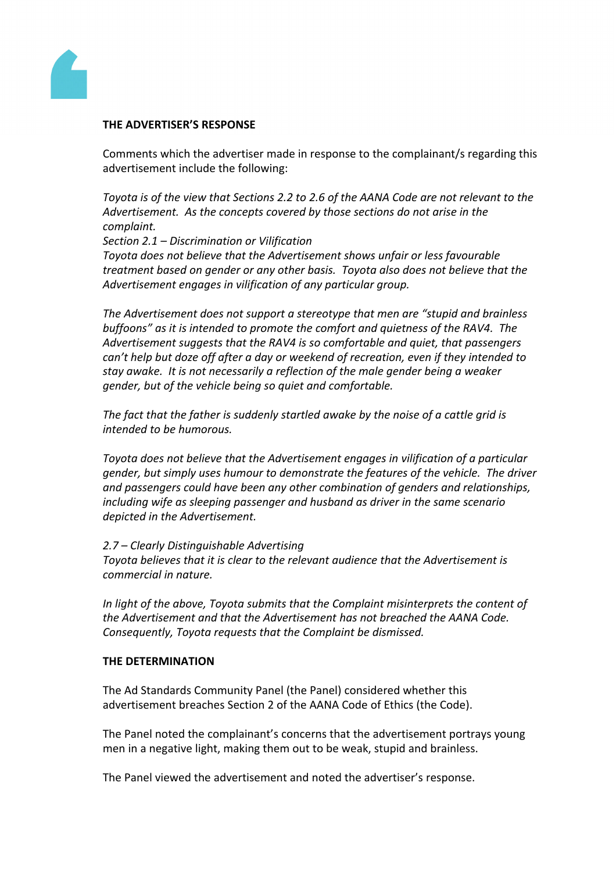

## **THE ADVERTISER'S RESPONSE**

Comments which the advertiser made in response to the complainant/s regarding this advertisement include the following:

*Toyota is of the view that Sections 2.2 to 2.6 of the AANA Code are not relevant to the Advertisement. As the concepts covered by those sections do not arise in the complaint.*

*Section 2.1 – Discrimination or Vilification*

*Toyota does not believe that the Advertisement shows unfair or less favourable treatment based on gender or any other basis. Toyota also does not believe that the Advertisement engages in vilification of any particular group.*

*The Advertisement does not support a stereotype that men are "stupid and brainless buffoons" as it is intended to promote the comfort and quietness of the RAV4. The Advertisement suggests that the RAV4 is so comfortable and quiet, that passengers can't help but doze off after a day or weekend of recreation, even if they intended to stay awake. It is not necessarily a reflection of the male gender being a weaker gender, but of the vehicle being so quiet and comfortable.*

*The fact that the father is suddenly startled awake by the noise of a cattle grid is intended to be humorous.* 

*Toyota does not believe that the Advertisement engages in vilification of a particular gender, but simply uses humour to demonstrate the features of the vehicle. The driver and passengers could have been any other combination of genders and relationships, including wife as sleeping passenger and husband as driver in the same scenario depicted in the Advertisement.*

#### *2.7 – Clearly Distinguishable Advertising*

*Toyota believes that it is clear to the relevant audience that the Advertisement is commercial in nature.*

*In light of the above, Toyota submits that the Complaint misinterprets the content of the Advertisement and that the Advertisement has not breached the AANA Code. Consequently, Toyota requests that the Complaint be dismissed.*

#### **THE DETERMINATION**

The Ad Standards Community Panel (the Panel) considered whether this advertisement breaches Section 2 of the AANA Code of Ethics (the Code).

The Panel noted the complainant's concerns that the advertisement portrays young men in a negative light, making them out to be weak, stupid and brainless.

The Panel viewed the advertisement and noted the advertiser's response.